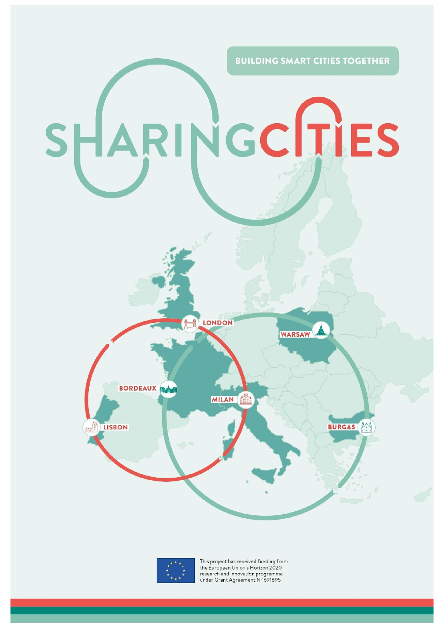



This project has received funding from the European Union's Horizon 2020 research and innovation programme<br>under Grant Agreement N° 691895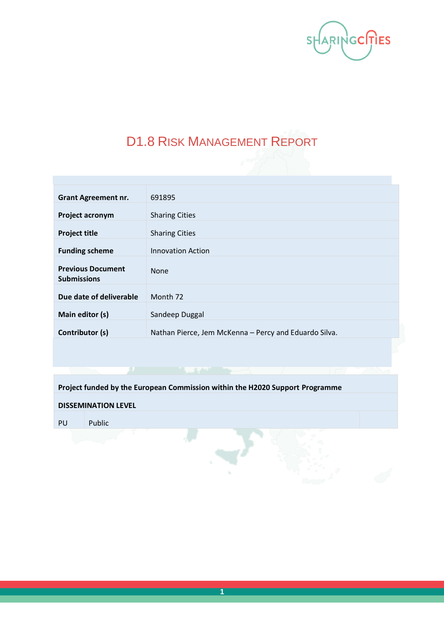

# D1.8 RISK MANAGEMENT REPORT

| <b>Grant Agreement nr.</b>                     | 691895                                                |
|------------------------------------------------|-------------------------------------------------------|
| Project acronym                                | <b>Sharing Cities</b>                                 |
| <b>Project title</b>                           | <b>Sharing Cities</b>                                 |
| <b>Funding scheme</b>                          | <b>Innovation Action</b>                              |
| <b>Previous Document</b><br><b>Submissions</b> | <b>None</b>                                           |
| Due date of deliverable                        | Month <sub>72</sub>                                   |
| Main editor (s)                                | Sandeep Duggal                                        |
| Contributor (s)                                | Nathan Pierce, Jem McKenna - Percy and Eduardo Silva. |
|                                                |                                                       |

**Project funded by the European Commission within the H2020 Support Programme**

#### **DISSEMINATION LEVEL**

PU Public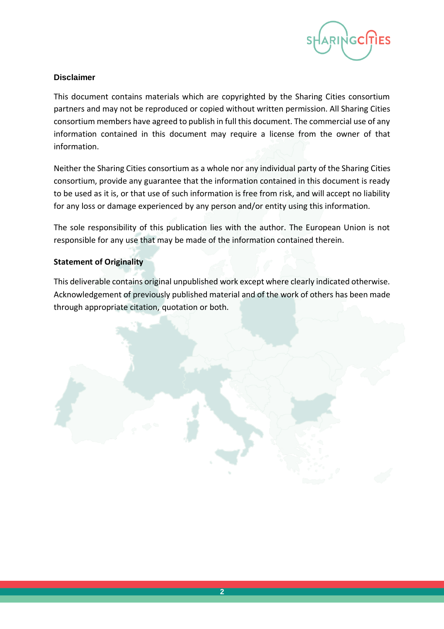

#### **Disclaimer**

This document contains materials which are copyrighted by the Sharing Cities consortium partners and may not be reproduced or copied without written permission. All Sharing Cities consortium members have agreed to publish in full this document. The commercial use of any information contained in this document may require a license from the owner of that information.

Neither the Sharing Cities consortium as a whole nor any individual party of the Sharing Cities consortium, provide any guarantee that the information contained in this document is ready to be used as it is, or that use of such information is free from risk, and will accept no liability for any loss or damage experienced by any person and/or entity using this information.

The sole responsibility of this publication lies with the author. The European Union is not responsible for any use that may be made of the information contained therein.

#### **Statement of Originality**

This deliverable contains original unpublished work except where clearly indicated otherwise. Acknowledgement of previously published material and of the work of others has been made through appropriate citation, quotation or both.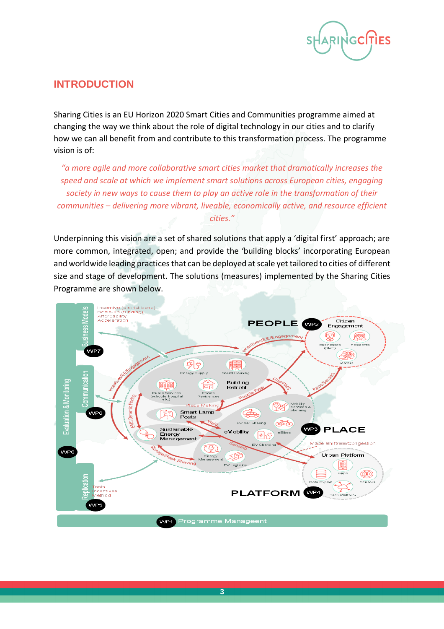

### **INTRODUCTION**

Sharing Cities is an EU Horizon 2020 Smart Cities and Communities programme aimed at changing the way we think about the role of digital technology in our cities and to clarify how we can all benefit from and contribute to this transformation process. The programme vision is of:

*"a more agile and more collaborative smart cities market that dramatically increases the speed and scale at which we implement smart solutions across European cities, engaging society in new ways to cause them to play an active role in the transformation of their communities – delivering more vibrant, liveable, economically active, and resource efficient cities."*

Underpinning this vision are a set of shared solutions that apply a 'digital first' approach; are more common, integrated, open; and provide the 'building blocks' incorporating European and worldwide leading practices that can be deployed at scale yet tailored to cities of different size and stage of development. The solutions (measures) implemented by the Sharing Cities Programme are shown below.

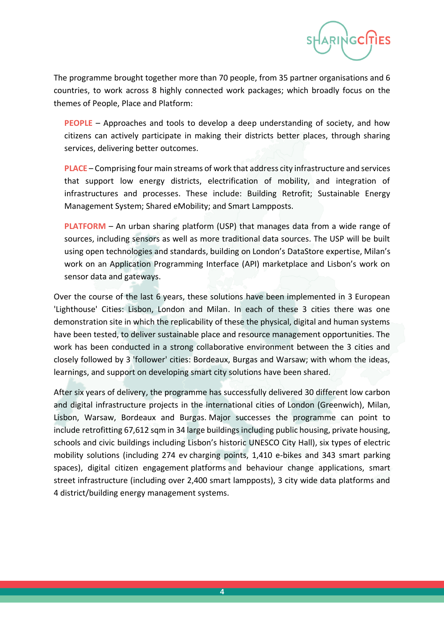

The programme brought together more than 70 people, from 35 partner organisations and 6 countries, to work across 8 highly connected work packages; which broadly focus on the themes of People, Place and Platform:

**PEOPLE** – Approaches and tools to develop a deep understanding of society, and how citizens can actively participate in making their districts better places, through sharing services, delivering better outcomes.

**PLACE** – Comprising four main streams of work that address city infrastructure and services that support low energy districts, electrification of mobility, and integration of infrastructures and processes. These include: Building Retrofit; Sustainable Energy Management System; Shared eMobility; and Smart Lampposts.

**PLATFORM** – An urban sharing platform (USP) that manages data from a wide range of sources, including sensors as well as more traditional data sources. The USP will be built using open technologies and standards, building on London's DataStore expertise, Milan's work on an Application Programming Interface (API) marketplace and Lisbon's work on sensor data and gateways.

Over the course of the last 6 years, these solutions have been implemented in 3 European 'Lighthouse' Cities: Lisbon, London and Milan. In each of these 3 cities there was one demonstration site in which the replicability of these the physical, digital and human systems have been tested, to deliver sustainable place and resource management opportunities. The work has been conducted in a strong collaborative environment between the 3 cities and closely followed by 3 'follower' cities: Bordeaux, Burgas and Warsaw; with whom the ideas, learnings, and support on developing smart city solutions have been shared.

After six years of delivery, the programme has successfully delivered 30 different low carbon and digital infrastructure projects in the international cities of London (Greenwich), Milan, Lisbon, Warsaw, Bordeaux and Burgas. Major successes the programme can point to include retrofitting 67,612 sqm in 34 large buildings including public housing, private housing, schools and civic buildings including Lisbon's historic UNESCO City Hall), six types of electric mobility solutions (including 274 ev charging points, 1,410 e-bikes and 343 smart parking spaces), digital citizen engagement platforms and behaviour change applications, smart street infrastructure (including over 2,400 smart lampposts), 3 city wide data platforms and 4 district/building energy management systems.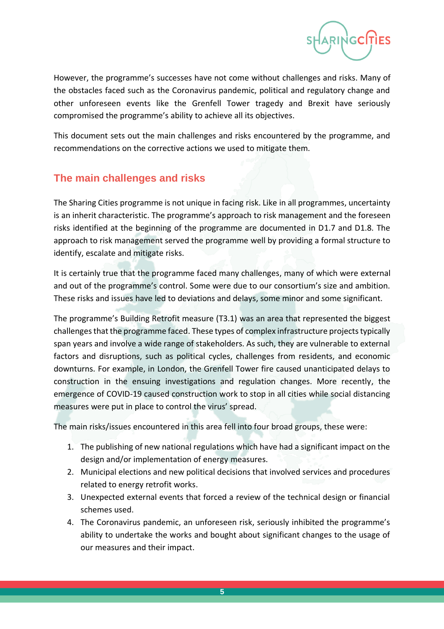

However, the programme's successes have not come without challenges and risks. Many of the obstacles faced such as the Coronavirus pandemic, political and regulatory change and other unforeseen events like the Grenfell Tower tragedy and Brexit have seriously compromised the programme's ability to achieve all its objectives.

This document sets out the main challenges and risks encountered by the programme, and recommendations on the corrective actions we used to mitigate them.

## **The main challenges and risks**

The Sharing Cities programme is not unique in facing risk. Like in all programmes, uncertainty is an inherit characteristic. The programme's approach to risk management and the foreseen risks identified at the beginning of the programme are documented in D1.7 and D1.8. The approach to risk management served the programme well by providing a formal structure to identify, escalate and mitigate risks.

It is certainly true that the programme faced many challenges, many of which were external and out of the programme's control. Some were due to our consortium's size and ambition. These risks and issues have led to deviations and delays, some minor and some significant.

The programme's Building Retrofit measure (T3.1) was an area that represented the biggest challenges that the programme faced. These types of complex infrastructure projects typically span years and involve a wide range of stakeholders. As such, they are vulnerable to external factors and disruptions, such as political cycles, challenges from residents, and economic downturns. For example, in London, the Grenfell Tower fire caused unanticipated delays to construction in the ensuing investigations and regulation changes. More recently, the emergence of COVID-19 caused construction work to stop in all cities while social distancing measures were put in place to control the virus' spread.

The main risks/issues encountered in this area fell into four broad groups, these were:

- 1. The publishing of new national regulations which have had a significant impact on the design and/or implementation of energy measures.
- 2. Municipal elections and new political decisions that involved services and procedures related to energy retrofit works.
- 3. Unexpected external events that forced a review of the technical design or financial schemes used.
- 4. The Coronavirus pandemic, an unforeseen risk, seriously inhibited the programme's ability to undertake the works and bought about significant changes to the usage of our measures and their impact.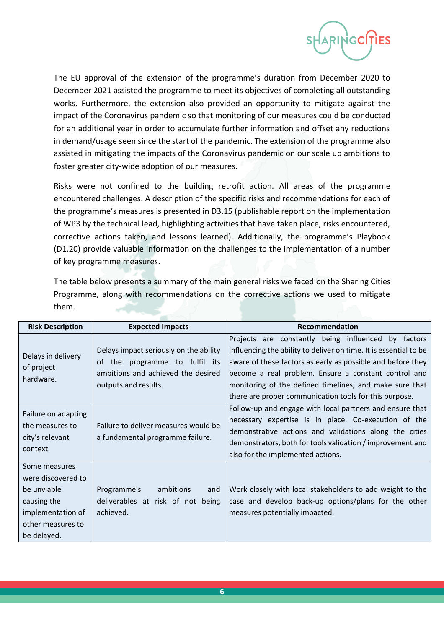

The EU approval of the extension of the programme's duration from December 2020 to December 2021 assisted the programme to meet its objectives of completing all outstanding works. Furthermore, the extension also provided an opportunity to mitigate against the impact of the Coronavirus pandemic so that monitoring of our measures could be conducted for an additional year in order to accumulate further information and offset any reductions in demand/usage seen since the start of the pandemic. The extension of the programme also assisted in mitigating the impacts of the Coronavirus pandemic on our scale up ambitions to foster greater city-wide adoption of our measures.

Risks were not confined to the building retrofit action. All areas of the programme encountered challenges. A description of the specific risks and recommendations for each of the programme's measures is presented in D3.15 (publishable report on the implementation of WP3 by the technical lead, highlighting activities that have taken place, risks encountered, corrective actions taken, and lessons learned). Additionally, the programme's Playbook (D1.20) provide valuable information on the challenges to the implementation of a number of key programme measures.

The table below presents a summary of the main general risks we faced on the Sharing Cities Programme, along with recommendations on the corrective actions we used to mitigate them.

| <b>Risk Description</b>                                                                                                    | <b>Expected Impacts</b>                                                                                                                | <b>Recommendation</b>                                                                                                                                                                                                                                                                                                                                                |
|----------------------------------------------------------------------------------------------------------------------------|----------------------------------------------------------------------------------------------------------------------------------------|----------------------------------------------------------------------------------------------------------------------------------------------------------------------------------------------------------------------------------------------------------------------------------------------------------------------------------------------------------------------|
| Delays in delivery<br>of project<br>hardware.                                                                              | Delays impact seriously on the ability<br>of the programme to fulfil its<br>ambitions and achieved the desired<br>outputs and results. | Projects are constantly being influenced by factors<br>influencing the ability to deliver on time. It is essential to be<br>aware of these factors as early as possible and before they<br>become a real problem. Ensure a constant control and<br>monitoring of the defined timelines, and make sure that<br>there are proper communication tools for this purpose. |
| Failure on adapting<br>the measures to<br>city's relevant<br>context                                                       | Failure to deliver measures would be<br>a fundamental programme failure.                                                               | Follow-up and engage with local partners and ensure that<br>necessary expertise is in place. Co-execution of the<br>demonstrative actions and validations along the cities<br>demonstrators, both for tools validation / improvement and<br>also for the implemented actions.                                                                                        |
| Some measures<br>were discovered to<br>be unviable<br>causing the<br>implementation of<br>other measures to<br>be delayed. | Programme's<br>ambitions<br>and<br>deliverables at risk of not<br>being<br>achieved.                                                   | Work closely with local stakeholders to add weight to the<br>case and develop back-up options/plans for the other<br>measures potentially impacted.                                                                                                                                                                                                                  |